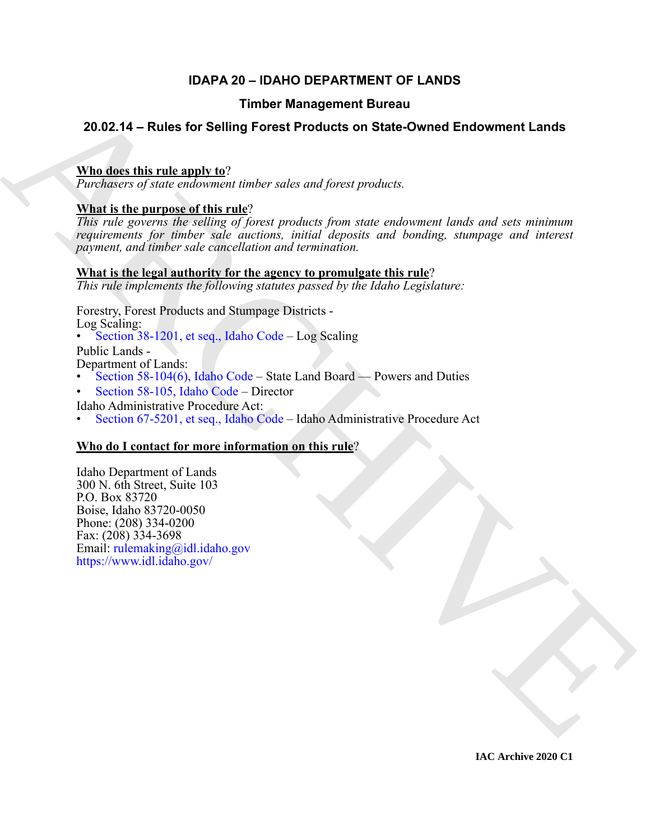# **IDAPA 20 – IDAHO DEPARTMENT OF LANDS**

# **Timber Management Bureau**

# **20.02.14 – Rules for Selling Forest Products on State-Owned Endowment Lands**

# **Who does this rule apply to**?

*Purchasers of state endowment timber sales and forest products.*

# **What is the purpose of this rule**?

Timber Management Bureau<br>
20.02.14 – [R](https://legislature.idaho.gov/statutesrules/idstat/Title38/T38CH12/)ules for Selling Forest Products on State-Owned Endowment Lands<br>
What sheet this rule endowman tanks only one and forest products.<br>
The figure proposalistic of the proposalistic produ *This rule governs the selling of forest products from state endowment lands and sets minimum requirements for timber sale auctions, initial deposits and bonding, stumpage and interest payment, and timber sale cancellation and termination.*

## **What is the legal authority for the agency to promulgate this rule**?

*This rule implements the following statutes passed by the Idaho Legislature:*

Forestry, Forest Products and Stumpage Districts - Log Scaling:

• Section 38-1201, et seq., Idaho Code – Log Scaling

Public Lands -

Department of Lands:

- Section 58-104(6), Idaho Code State Land Board Powers and Duties
- Section 58-105, Idaho Code Director
- Idaho Administrative Procedure Act:
- Section 67-5201, et seq., Idaho Code Idaho Administrative Procedure Act

# **Who do I contact for more information on this rule**?

Idaho Department of Lands 300 N. 6th Street, Suite 103 P.O. Box 83720 Boise, Idaho 83720-0050 Phone: (208) 334-0200 Fax: (208) 334-3698 Email: rulemaking@idl.idaho.gov https://www.idl.idaho.gov/

**IAC Archive 2020 C1**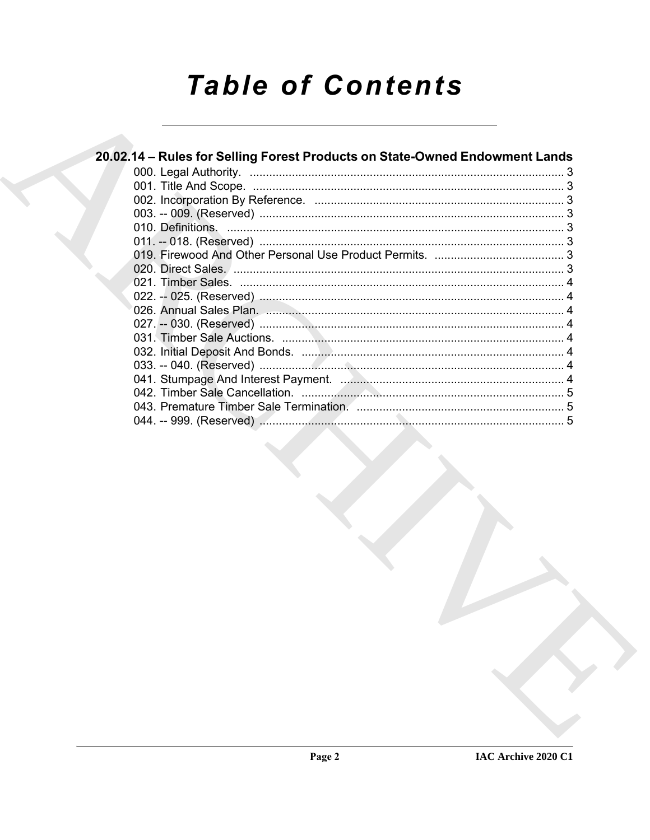# **Table of Contents**

| 20.02.14 - Rules for Selling Forest Products on State-Owned Endowment Lands |  |
|-----------------------------------------------------------------------------|--|
|                                                                             |  |
|                                                                             |  |
|                                                                             |  |
|                                                                             |  |
|                                                                             |  |
|                                                                             |  |
|                                                                             |  |
|                                                                             |  |
|                                                                             |  |
|                                                                             |  |
|                                                                             |  |
|                                                                             |  |
|                                                                             |  |
|                                                                             |  |
|                                                                             |  |
|                                                                             |  |
|                                                                             |  |
|                                                                             |  |
|                                                                             |  |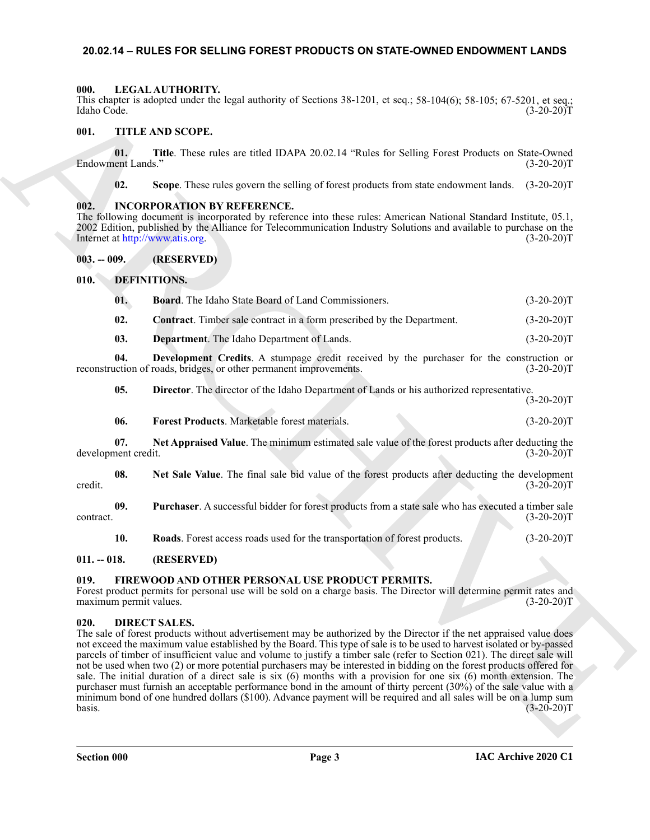### <span id="page-2-0"></span>**20.02.14 – RULES FOR SELLING FOREST PRODUCTS ON STATE-OWNED ENDOWMENT LANDS**

#### <span id="page-2-23"></span><span id="page-2-1"></span>**000. LEGAL AUTHORITY.**

This chapter is adopted under the legal authority of Sections 38-1201, et seq.; 58-104(6); 58-105; 67-5201, et seq.; Idaho Code. (3-20-20)T

### <span id="page-2-24"></span><span id="page-2-2"></span>**001. TITLE AND SCOPE.**

**01.** Title. These rules are titled IDAPA 20.02.14 "Rules for Selling Forest Products on State-Owned ent Lands." (3-20-20) Endowment Lands.'

<span id="page-2-22"></span>**02. Scope**. These rules govern the selling of forest products from state endowment lands. (3-20-20)T

#### <span id="page-2-3"></span>**002. INCORPORATION BY REFERENCE.**

The following document is incorporated by reference into these rules: American National Standard Institute, 05.1, 2002 Edition, published by the Alliance for Telecommunication Industry Solutions and available to purchase on the Internet at http://www.atis.org. (3-20-20)T Internet at http://www.atis.org.

<span id="page-2-4"></span>**003. -- 009. (RESERVED)**

<span id="page-2-5"></span>**010. DEFINITIONS.**

<span id="page-2-12"></span><span id="page-2-11"></span><span id="page-2-10"></span><span id="page-2-9"></span>

| 01.  | <b>Board.</b> The Idaho State Board of Land Commissioners.                    | $(3-20-20)T$ |
|------|-------------------------------------------------------------------------------|--------------|
| -02. | <b>Contract.</b> Timber sale contract in a form prescribed by the Department. | $(3-20-20)T$ |
| 03.  | <b>Department.</b> The Idaho Department of Lands.                             | $(3-20-20)T$ |

**04. Development Credits**. A stumpage credit received by the purchaser for the construction or reconstruction of roads, bridges, or other permanent improvements. (3-20-20)T

<span id="page-2-14"></span><span id="page-2-13"></span>**05. Director**. The director of the Idaho Department of Lands or his authorized representative.  $(3-20-20)T$ 

<span id="page-2-17"></span><span id="page-2-16"></span><span id="page-2-15"></span>**06. Forest Products**. Marketable forest materials. (3-20-20)T

**07.** Net Appraised Value. The minimum estimated sale value of the forest products after deducting the nent credit. (3-20-20) development credit.

**08.** Net Sale Value. The final sale bid value of the forest products after deducting the development (3-20-20)T credit.  $(3-20-20)T$ 

**09. Purchaser**. A successful bidder for forest products from a state sale who has executed a timber sale contract. (3-20-20)T

<span id="page-2-21"></span><span id="page-2-19"></span><span id="page-2-18"></span>**10. Roads**. Forest access roads used for the transportation of forest products. (3-20-20)T

#### <span id="page-2-6"></span>**011. -- 018. (RESERVED)**

#### <span id="page-2-7"></span>**019. FIREWOOD AND OTHER PERSONAL USE PRODUCT PERMITS.**

Forest product permits for personal use will be sold on a charge basis. The Director will determine permit rates and maximum permit values. (3-20-20) maximum permit values.

#### <span id="page-2-20"></span><span id="page-2-8"></span>**020. DIRECT SALES.**

This shows a showed under the lead inducery of Steinus 36-1201, et sec; 58-1361(b), 58-137 (c) 52.2017<br>
(d) Control (1.32.30)<br>
(d) Control (1.32.30)<br>
(d) Control (1.32.30)<br>
(d) This These reduces are ulsed IDAPA 20.02.14 The sale of forest products without advertisement may be authorized by the Director if the net appraised value does not exceed the maximum value established by the Board. This type of sale is to be used to harvest isolated or by-passed parcels of timber of insufficient value and volume to justify a timber sale (refer to Section 021). The direct sale will not be used when two (2) or more potential purchasers may be interested in bidding on the forest products offered for sale. The initial duration of a direct sale is six (6) months with a provision for one six (6) month extension. The purchaser must furnish an acceptable performance bond in the amount of thirty percent (30%) of the sale value with a minimum bond of one hundred dollars (\$100). Advance payment will be required and all sales will be on a lump sum  $\cos 3.20 - 20$ T (3-20-20)T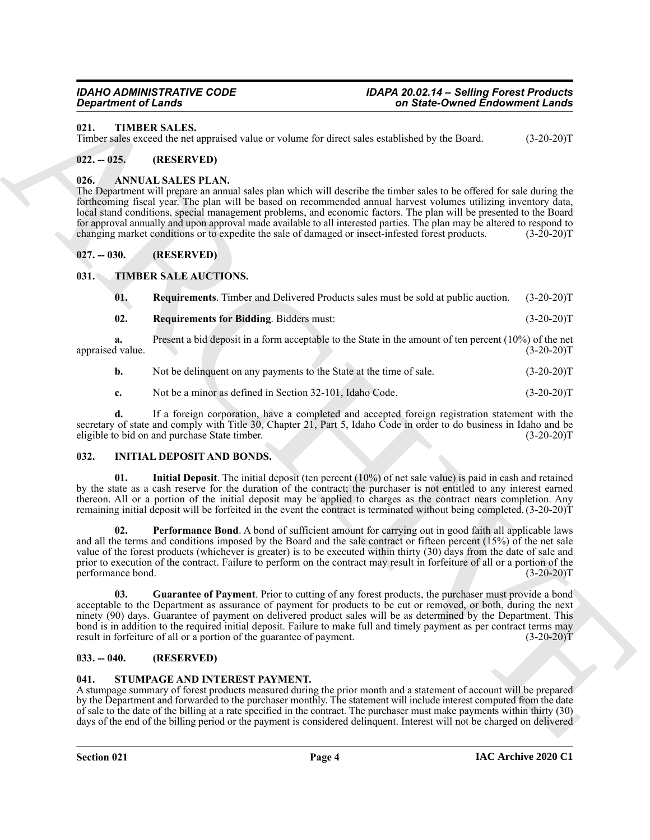#### <span id="page-3-17"></span><span id="page-3-0"></span>**021. TIMBER SALES.**

Timber sales exceed the net appraised value or volume for direct sales established by the Board. (3-20-20)T

#### <span id="page-3-1"></span>**022. -- 025. (RESERVED)**

#### <span id="page-3-8"></span><span id="page-3-2"></span>**026. ANNUAL SALES PLAN.**

The Department will prepare an annual sales plan which will describe the timber sales to be offered for sale during the forthcoming fiscal year. The plan will be based on recommended annual harvest volumes utilizing inventory data, local stand conditions, special management problems, and economic factors. The plan will be presented to the Board for approval annually and upon approval made available to all interested parties. The plan may be altered to respond to changing market conditions or to expedite the sale of damaged or insect-infested forest products. (3-2 changing market conditions or to expedite the sale of damaged or insect-infested forest products.

#### <span id="page-3-3"></span>**027. -- 030. (RESERVED)**

#### <span id="page-3-4"></span>**031. TIMBER SALE AUCTIONS.**

<span id="page-3-16"></span><span id="page-3-15"></span><span id="page-3-14"></span>

| 01. | <b>Requirements.</b> Timber and Delivered Products sales must be sold at public auction. (3-20-20)T |              |
|-----|-----------------------------------------------------------------------------------------------------|--------------|
| 02. | <b>Requirements for Bidding.</b> Bidders must:                                                      | $(3-20-20)T$ |

**a.** Present a bid deposit in a form acceptable to the State in the amount of ten percent (10%) of the net d value.  $(3-20-20)T$ appraised value.

- **b.** Not be delinquent on any payments to the State at the time of sale.  $(3-20-20)T$
- **c.** Not be a minor as defined in Section 32-101, Idaho Code. (3-20-20)T

**d.** If a foreign corporation, have a completed and accepted foreign registration statement with the secretary of state and comply with Title 30, Chapter 21, Part 5, Idaho Code in order to do business in Idaho and be eligible to bid on and purchase State timber. (3-20-20)T

#### <span id="page-3-9"></span><span id="page-3-5"></span>**032. INITIAL DEPOSIT AND BONDS.**

<span id="page-3-12"></span><span id="page-3-11"></span>**01. Initial Deposit**. The initial deposit (ten percent (10%) of net sale value) is paid in cash and retained by the state as a cash reserve for the duration of the contract; the purchaser is not entitled to any interest earned thereon. All or a portion of the initial deposit may be applied to charges as the contract nears completion. Any remaining initial deposit will be forfeited in the event the contract is terminated without being completed. (3-20-20)T

**Experimented Lines and Section 12.12** and Section 2 and Section 2 and Section 2 and Section 2 and Section 2 and Section 2 and Section 2 and Section 2 and Section 2 and Section 2 and Section 2 and Section 2 and Section 2 **02. Performance Bond**. A bond of sufficient amount for carrying out in good faith all applicable laws and all the terms and conditions imposed by the Board and the sale contract or fifteen percent (15%) of the net sale value of the forest products (whichever is greater) is to be executed within thirty (30) days from the date of sale and prior to execution of the contract. Failure to perform on the contract may result in forfeiture of all or a portion of the performance bond. (3-20-20)T

<span id="page-3-10"></span>**03. Guarantee of Payment**. Prior to cutting of any forest products, the purchaser must provide a bond acceptable to the Department as assurance of payment for products to be cut or removed, or both, during the next ninety (90) days. Guarantee of payment on delivered product sales will be as determined by the Department. This bond is in addition to the required initial deposit. Failure to make full and timely payment as per contract terms may result in forfeiture of all or a portion of the guarantee of payment. (3-20-20) result in forfeiture of all or a portion of the guarantee of payment.

#### <span id="page-3-6"></span>**033. -- 040. (RESERVED)**

#### <span id="page-3-13"></span><span id="page-3-7"></span>**041. STUMPAGE AND INTEREST PAYMENT.**

A stumpage summary of forest products measured during the prior month and a statement of account will be prepared by the Department and forwarded to the purchaser monthly. The statement will include interest computed from the date of sale to the date of the billing at a rate specified in the contract. The purchaser must make payments within thirty (30) days of the end of the billing period or the payment is considered delinquent. Interest will not be charged on delivered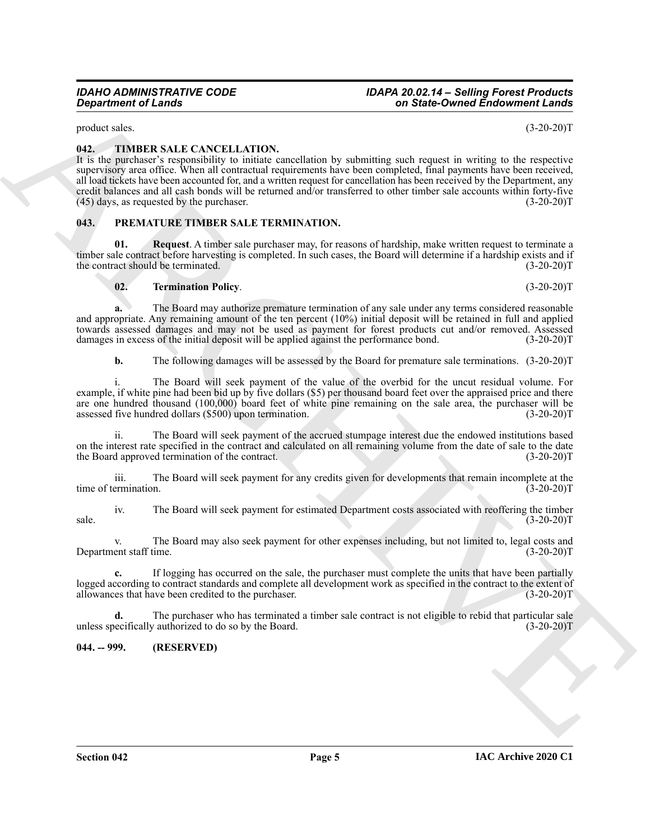product sales. (3-20-20)T

#### <span id="page-4-6"></span><span id="page-4-0"></span>**042. TIMBER SALE CANCELLATION.**

**Expansion of Leads Control Candidate Control Candidate Systems and State Control Enforcement Candidate Systems and Control Candidate Systems and Control Candidate Systems and Control Candidate Systems and Control Candida** It is the purchaser's responsibility to initiate cancellation by submitting such request in writing to the respective supervisory area office. When all contractual requirements have been completed, final payments have been received, all load tickets have been accounted for, and a written request for cancellation has been received by the Department, any credit balances and all cash bonds will be returned and/or transferred to other timber sale accounts within forty-five  $(45)$  days, as requested by the purchaser.  $(3-20-20)$ T

#### <span id="page-4-3"></span><span id="page-4-1"></span>**043. PREMATURE TIMBER SALE TERMINATION.**

**01. Request**. A timber sale purchaser may, for reasons of hardship, make written request to terminate a timber sale contract before harvesting is completed. In such cases, the Board will determine if a hardship exists and if the contract should be terminated. (3-20-20)T

#### <span id="page-4-5"></span><span id="page-4-4"></span>**02. Termination Policy**. (3-20-20)T

**a.** The Board may authorize premature termination of any sale under any terms considered reasonable and appropriate. Any remaining amount of the ten percent (10%) initial deposit will be retained in full and applied towards assessed damages and may not be used as payment for forest products cut and/or removed. Assessed damages in excess of the initial deposit will be applied against the performance bond. (3-20-20) damages in excess of the initial deposit will be applied against the performance bond.

**b.** The following damages will be assessed by the Board for premature sale terminations.  $(3-20-20)$ T

The Board will seek payment of the value of the overbid for the uncut residual volume. For example, if white pine had been bid up by five dollars (\$5) per thousand board feet over the appraised price and there are one hundred thousand (100,000) board feet of white pine remaining on the sale area, the purchaser will be assessed five hundred dollars (\$500) upon termination. (3-20-20) assessed five hundred dollars (\$500) upon termination.

ii. The Board will seek payment of the accrued stumpage interest due the endowed institutions based on the interest rate specified in the contract and calculated on all remaining volume from the date of sale to the date the Board approved termination of the contract. (3-20-20)T

iii. The Board will seek payment for any credits given for developments that remain incomplete at the time of termination.

iv. The Board will seek payment for estimated Department costs associated with reoffering the timber  $s = (3-20-20)T$ 

v. The Board may also seek payment for other expenses including, but not limited to, legal costs and Department staff time. (3-20-20)T

**c.** If logging has occurred on the sale, the purchaser must complete the units that have been partially logged according to contract standards and complete all development work as specified in the contract to the extent of allowances that have been credited to the purchaser. (3-20-20) allowances that have been credited to the purchaser.

**d.** The purchaser who has terminated a timber sale contract is not eligible to rebid that particular sale unless specifically authorized to do so by the Board. (3-20-20)T

<span id="page-4-2"></span>**044. -- 999. (RESERVED)**

*Department of Lands on State-Owned Endowment Lands*